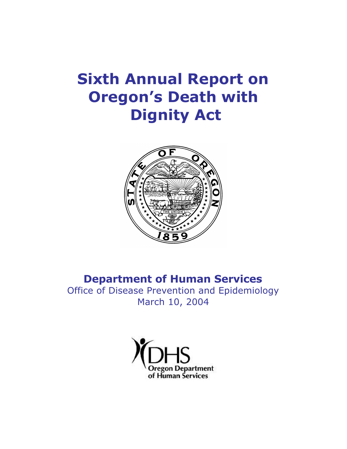# **Sixth Annual Report on Oregon's Death with Dignity Act**



# **Department of Human Services**

Office of Disease Prevention and Epidemiology March 10, 2004

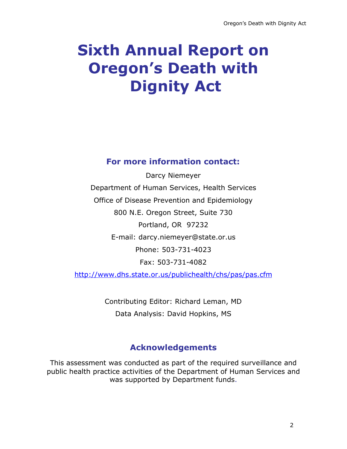# **Sixth Annual Report on Oregon's Death with Dignity Act**

## **For more information contact:**

Darcy Niemeyer Department of Human Services, Health Services Office of Disease Prevention and Epidemiology 800 N.E. Oregon Street, Suite 730 Portland, OR 97232 E-mail: darcy.niemeyer@state.or.us Phone: 503-731-4023 Fax: 503-731-4082 http://www.dhs.state.or.us/publichealth/chs/pas/pas.cfm

> Contributing Editor: Richard Leman, MD Data Analysis: David Hopkins, MS

# **Acknowledgements**

This assessment was conducted as part of the required surveillance and public health practice activities of the Department of Human Services and was supported by Department funds.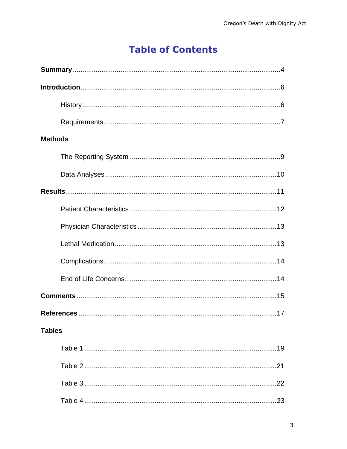# **Table of Contents**

| <b>Methods</b> |
|----------------|
|                |
|                |
|                |
|                |
|                |
|                |
|                |
|                |
|                |
|                |
| <b>Tables</b>  |
|                |
|                |
|                |
|                |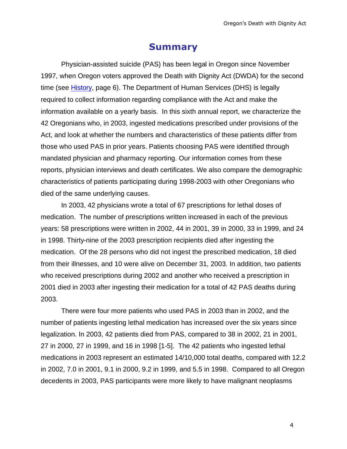## **Summary**

Physician-assisted suicide (PAS) has been legal in Oregon since November 1997, when Oregon voters approved the Death with Dignity Act (DWDA) for the second time (see History, page 6). The Department of Human Services (DHS) is legally required to collect information regarding compliance with the Act and make the information available on a yearly basis. In this sixth annual report, we characterize the 42 Oregonians who, in 2003, ingested medications prescribed under provisions of the Act, and look at whether the numbers and characteristics of these patients differ from those who used PAS in prior years. Patients choosing PAS were identified through mandated physician and pharmacy reporting. Our information comes from these reports, physician interviews and death certificates. We also compare the demographic characteristics of patients participating during 1998-2003 with other Oregonians who died of the same underlying causes.

In 2003, 42 physicians wrote a total of 67 prescriptions for lethal doses of medication. The number of prescriptions written increased in each of the previous years: 58 prescriptions were written in 2002, 44 in 2001, 39 in 2000, 33 in 1999, and 24 in 1998. Thirty-nine of the 2003 prescription recipients died after ingesting the medication. Of the 28 persons who did not ingest the prescribed medication, 18 died from their illnesses, and 10 were alive on December 31, 2003. In addition, two patients who received prescriptions during 2002 and another who received a prescription in 2001 died in 2003 after ingesting their medication for a total of 42 PAS deaths during 2003.

There were four more patients who used PAS in 2003 than in 2002, and the number of patients ingesting lethal medication has increased over the six years since legalization. In 2003, 42 patients died from PAS, compared to 38 in 2002, 21 in 2001, 27 in 2000, 27 in 1999, and 16 in 1998 [1-5]. The 42 patients who ingested lethal medications in 2003 represent an estimated 14/10,000 total deaths, compared with 12.2 in 2002, 7.0 in 2001, 9.1 in 2000, 9.2 in 1999, and 5.5 in 1998. Compared to all Oregon decedents in 2003, PAS participants were more likely to have malignant neoplasms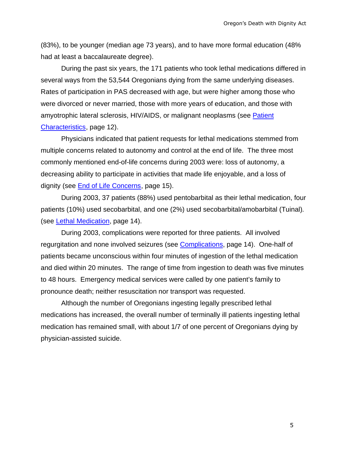(83%), to be younger (median age 73 years), and to have more formal education (48% had at least a baccalaureate degree).

During the past six years, the 171 patients who took lethal medications differed in several ways from the 53,544 Oregonians dying from the same underlying diseases. Rates of participation in PAS decreased with age, but were higher among those who were divorced or never married, those with more years of education, and those with amyotrophic lateral sclerosis, HIV/AIDS, or malignant neoplasms (see Patient Characteristics, page 12).

Physicians indicated that patient requests for lethal medications stemmed from multiple concerns related to autonomy and control at the end of life. The three most commonly mentioned end-of-life concerns during 2003 were: loss of autonomy, a decreasing ability to participate in activities that made life enjoyable, and a loss of dignity (see End of Life Concerns, page 15).

During 2003, 37 patients (88%) used pentobarbital as their lethal medication, four patients (10%) used secobarbital, and one (2%) used secobarbital/amobarbital (Tuinal). (see Lethal Medication, page 14).

During 2003, complications were reported for three patients. All involved regurgitation and none involved seizures (see Complications, page 14). One-half of patients became unconscious within four minutes of ingestion of the lethal medication and died within 20 minutes. The range of time from ingestion to death was five minutes to 48 hours. Emergency medical services were called by one patient's family to pronounce death; neither resuscitation nor transport was requested.

Although the number of Oregonians ingesting legally prescribed lethal medications has increased, the overall number of terminally ill patients ingesting lethal medication has remained small, with about 1/7 of one percent of Oregonians dying by physician-assisted suicide.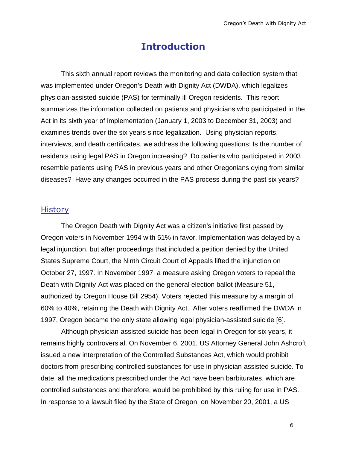## **Introduction**

This sixth annual report reviews the monitoring and data collection system that was implemented under Oregon's Death with Dignity Act (DWDA), which legalizes physician-assisted suicide (PAS) for terminally ill Oregon residents. This report summarizes the information collected on patients and physicians who participated in the Act in its sixth year of implementation (January 1, 2003 to December 31, 2003) and examines trends over the six years since legalization. Using physician reports, interviews, and death certificates, we address the following questions: Is the number of residents using legal PAS in Oregon increasing? Do patients who participated in 2003 resemble patients using PAS in previous years and other Oregonians dying from similar diseases? Have any changes occurred in the PAS process during the past six years?

#### **History**

The Oregon Death with Dignity Act was a citizen's initiative first passed by Oregon voters in November 1994 with 51% in favor. Implementation was delayed by a legal injunction, but after proceedings that included a petition denied by the United States Supreme Court, the Ninth Circuit Court of Appeals lifted the injunction on October 27, 1997. In November 1997, a measure asking Oregon voters to repeal the Death with Dignity Act was placed on the general election ballot (Measure 51, authorized by Oregon House Bill 2954). Voters rejected this measure by a margin of 60% to 40%, retaining the Death with Dignity Act. After voters reaffirmed the DWDA in 1997, Oregon became the only state allowing legal physician-assisted suicide [6].

Although physician-assisted suicide has been legal in Oregon for six years, it remains highly controversial. On November 6, 2001, US Attorney General John Ashcroft issued a new interpretation of the Controlled Substances Act, which would prohibit doctors from prescribing controlled substances for use in physician-assisted suicide. To date, all the medications prescribed under the Act have been barbiturates, which are controlled substances and therefore, would be prohibited by this ruling for use in PAS. In response to a lawsuit filed by the State of Oregon, on November 20, 2001, a US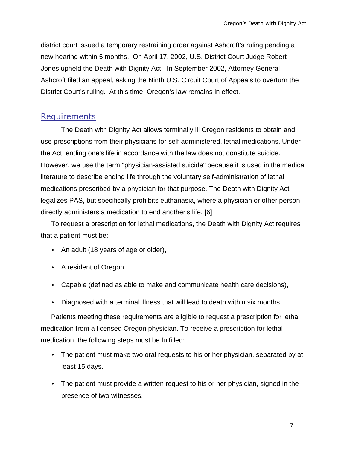district court issued a temporary restraining order against Ashcroft's ruling pending a new hearing within 5 months. On April 17, 2002, U.S. District Court Judge Robert Jones upheld the Death with Dignity Act. In September 2002, Attorney General Ashcroft filed an appeal, asking the Ninth U.S. Circuit Court of Appeals to overturn the District Court's ruling. At this time, Oregon's law remains in effect.

#### Requirements

The Death with Dignity Act allows terminally ill Oregon residents to obtain and use prescriptions from their physicians for self-administered, lethal medications. Under the Act, ending one's life in accordance with the law does not constitute suicide. However, we use the term "physician-assisted suicide" because it is used in the medical literature to describe ending life through the voluntary self-administration of lethal medications prescribed by a physician for that purpose. The Death with Dignity Act legalizes PAS, but specifically prohibits euthanasia, where a physician or other person directly administers a medication to end another's life. [6]

To request a prescription for lethal medications, the Death with Dignity Act requires that a patient must be:

- An adult (18 years of age or older),
- A resident of Oregon,
- Capable (defined as able to make and communicate health care decisions),
- Diagnosed with a terminal illness that will lead to death within six months.

Patients meeting these requirements are eligible to request a prescription for lethal medication from a licensed Oregon physician. To receive a prescription for lethal medication, the following steps must be fulfilled:

- The patient must make two oral requests to his or her physician, separated by at least 15 days.
- The patient must provide a written request to his or her physician, signed in the presence of two witnesses.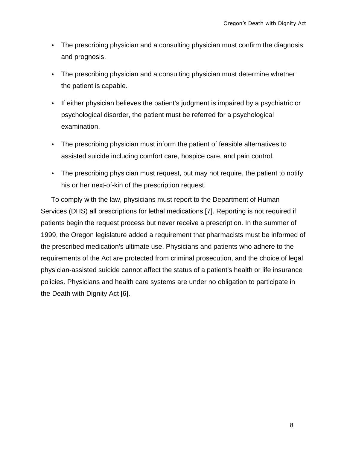- The prescribing physician and a consulting physician must confirm the diagnosis and prognosis.
- The prescribing physician and a consulting physician must determine whether the patient is capable.
- If either physician believes the patient's judgment is impaired by a psychiatric or psychological disorder, the patient must be referred for a psychological examination.
- The prescribing physician must inform the patient of feasible alternatives to assisted suicide including comfort care, hospice care, and pain control.
- The prescribing physician must request, but may not require, the patient to notify his or her next-of-kin of the prescription request.

To comply with the law, physicians must report to the Department of Human Services (DHS) all prescriptions for lethal medications [7]. Reporting is not required if patients begin the request process but never receive a prescription. In the summer of 1999, the Oregon legislature added a requirement that pharmacists must be informed of the prescribed medication's ultimate use. Physicians and patients who adhere to the requirements of the Act are protected from criminal prosecution, and the choice of legal physician-assisted suicide cannot affect the status of a patient's health or life insurance policies. Physicians and health care systems are under no obligation to participate in the Death with Dignity Act [6].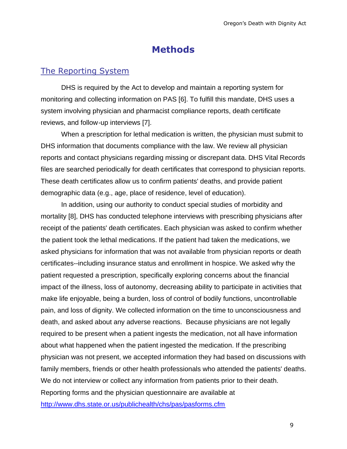# **Methods**

#### The Reporting System

DHS is required by the Act to develop and maintain a reporting system for monitoring and collecting information on PAS [6]. To fulfill this mandate, DHS uses a system involving physician and pharmacist compliance reports, death certificate reviews, and follow-up interviews [7].

When a prescription for lethal medication is written, the physician must submit to DHS information that documents compliance with the law. We review all physician reports and contact physicians regarding missing or discrepant data. DHS Vital Records files are searched periodically for death certificates that correspond to physician reports. These death certificates allow us to confirm patients' deaths, and provide patient demographic data (e.g., age, place of residence, level of education).

In addition, using our authority to conduct special studies of morbidity and mortality [8], DHS has conducted telephone interviews with prescribing physicians after receipt of the patients' death certificates. Each physician was asked to confirm whether the patient took the lethal medications. If the patient had taken the medications, we asked physicians for information that was not available from physician reports or death certificates--including insurance status and enrollment in hospice. We asked why the patient requested a prescription, specifically exploring concerns about the financial impact of the illness, loss of autonomy, decreasing ability to participate in activities that make life enjoyable, being a burden, loss of control of bodily functions, uncontrollable pain, and loss of dignity. We collected information on the time to unconsciousness and death, and asked about any adverse reactions. Because physicians are not legally required to be present when a patient ingests the medication, not all have information about what happened when the patient ingested the medication. If the prescribing physician was not present, we accepted information they had based on discussions with family members, friends or other health professionals who attended the patients' deaths. We do not interview or collect any information from patients prior to their death. Reporting forms and the physician questionnaire are available at http://www.dhs.state.or.us/publichealth/chs/pas/pasforms.cfm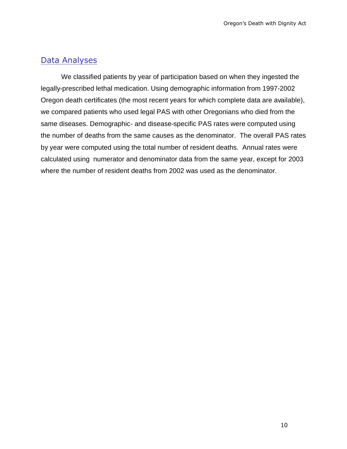#### Data Analyses

We classified patients by year of participation based on when they ingested the legally-prescribed lethal medication. Using demographic information from 1997-2002 Oregon death certificates (the most recent years for which complete data are available), we compared patients who used legal PAS with other Oregonians who died from the same diseases. Demographic- and disease-specific PAS rates were computed using the number of deaths from the same causes as the denominator. The overall PAS rates by year were computed using the total number of resident deaths. Annual rates were calculated using numerator and denominator data from the same year, except for 2003 where the number of resident deaths from 2002 was used as the denominator.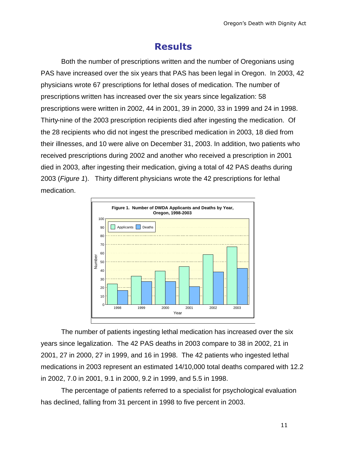# **Results**

Both the number of prescriptions written and the number of Oregonians using PAS have increased over the six years that PAS has been legal in Oregon. In 2003, 42 physicians wrote 67 prescriptions for lethal doses of medication. The number of prescriptions written has increased over the six years since legalization: 58 prescriptions were written in 2002, 44 in 2001, 39 in 2000, 33 in 1999 and 24 in 1998. Thirty-nine of the 2003 prescription recipients died after ingesting the medication. Of the 28 recipients who did not ingest the prescribed medication in 2003, 18 died from their illnesses, and 10 were alive on December 31, 2003. In addition, two patients who received prescriptions during 2002 and another who received a prescription in 2001 died in 2003, after ingesting their medication, giving a total of 42 PAS deaths during 2003 (*Figure 1*). Thirty different physicians wrote the 42 prescriptions for lethal medication.



The number of patients ingesting lethal medication has increased over the six years since legalization. The 42 PAS deaths in 2003 compare to 38 in 2002, 21 in 2001, 27 in 2000, 27 in 1999, and 16 in 1998. The 42 patients who ingested lethal medications in 2003 represent an estimated 14/10,000 total deaths compared with 12.2 in 2002, 7.0 in 2001, 9.1 in 2000, 9.2 in 1999, and 5.5 in 1998.

The percentage of patients referred to a specialist for psychological evaluation has declined, falling from 31 percent in 1998 to five percent in 2003.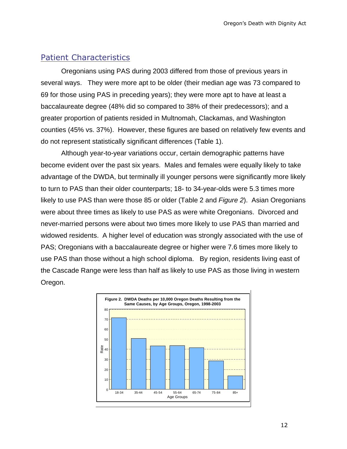#### Patient Characteristics

Oregonians using PAS during 2003 differed from those of previous years in several ways. They were more apt to be older (their median age was 73 compared to 69 for those using PAS in preceding years); they were more apt to have at least a baccalaureate degree (48% did so compared to 38% of their predecessors); and a greater proportion of patients resided in Multnomah, Clackamas, and Washington counties (45% vs. 37%). However, these figures are based on relatively few events and do not represent statistically significant differences (Table 1).

Although year-to-year variations occur, certain demographic patterns have become evident over the past six years. Males and females were equally likely to take advantage of the DWDA, but terminally ill younger persons were significantly more likely to turn to PAS than their older counterparts; 18- to 34-year-olds were 5.3 times more likely to use PAS than were those 85 or older (Table 2 and *Figure 2*). Asian Oregonians were about three times as likely to use PAS as were white Oregonians. Divorced and never-married persons were about two times more likely to use PAS than married and widowed residents. A higher level of education was strongly associated with the use of PAS; Oregonians with a baccalaureate degree or higher were 7.6 times more likely to use PAS than those without a high school diploma. By region, residents living east of the Cascade Range were less than half as likely to use PAS as those living in western Oregon.

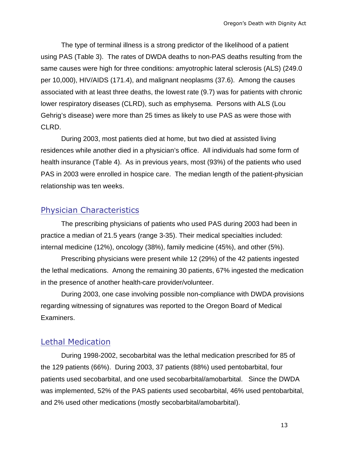The type of terminal illness is a strong predictor of the likelihood of a patient using PAS (Table 3). The rates of DWDA deaths to non-PAS deaths resulting from the same causes were high for three conditions: amyotrophic lateral sclerosis (ALS) (249.0 per 10,000), HIV/AIDS (171.4), and malignant neoplasms (37.6). Among the causes associated with at least three deaths, the lowest rate (9.7) was for patients with chronic lower respiratory diseases (CLRD), such as emphysema. Persons with ALS (Lou Gehrig's disease) were more than 25 times as likely to use PAS as were those with CLRD.

During 2003, most patients died at home, but two died at assisted living residences while another died in a physician's office. All individuals had some form of health insurance (Table 4). As in previous years, most (93%) of the patients who used PAS in 2003 were enrolled in hospice care. The median length of the patient-physician relationship was ten weeks.

#### Physician Characteristics

The prescribing physicians of patients who used PAS during 2003 had been in practice a median of 21.5 years (range 3-35). Their medical specialties included: internal medicine (12%), oncology (38%), family medicine (45%), and other (5%).

Prescribing physicians were present while 12 (29%) of the 42 patients ingested the lethal medications. Among the remaining 30 patients, 67% ingested the medication in the presence of another health-care provider/volunteer.

During 2003, one case involving possible non-compliance with DWDA provisions regarding witnessing of signatures was reported to the Oregon Board of Medical Examiners.

#### Lethal Medication

During 1998-2002, secobarbital was the lethal medication prescribed for 85 of the 129 patients (66%). During 2003, 37 patients (88%) used pentobarbital, four patients used secobarbital, and one used secobarbital/amobarbital. Since the DWDA was implemented, 52% of the PAS patients used secobarbital, 46% used pentobarbital, and 2% used other medications (mostly secobarbital/amobarbital).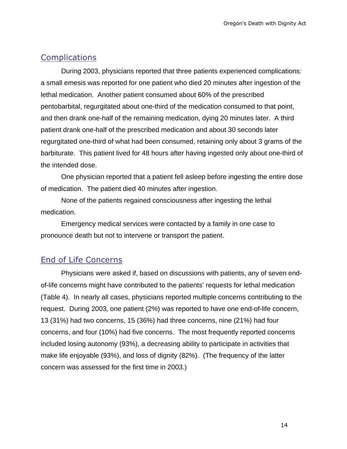#### **Complications**

During 2003, physicians reported that three patients experienced complications: a small emesis was reported for one patient who died 20 minutes after ingestion of the lethal medication. Another patient consumed about 60% of the prescribed pentobarbital, regurgitated about one-third of the medication consumed to that point, and then drank one-half of the remaining medication, dying 20 minutes later. A third patient drank one-half of the prescribed medication and about 30 seconds later regurgitated one-third of what had been consumed, retaining only about 3 grams of the barbiturate. This patient lived for 48 hours after having ingested only about one-third of the intended dose.

One physician reported that a patient fell asleep before ingesting the entire dose of medication. The patient died 40 minutes after ingestion.

None of the patients regained consciousness after ingesting the lethal medication.

Emergency medical services were contacted by a family in one case to pronounce death but not to intervene or transport the patient.

#### End of Life Concerns

Physicians were asked if, based on discussions with patients, any of seven endof-life concerns might have contributed to the patients' requests for lethal medication (Table 4). In nearly all cases, physicians reported multiple concerns contributing to the request. During 2003, one patient (2%) was reported to have one end-of-life concern, 13 (31%) had two concerns, 15 (36%) had three concerns, nine (21%) had four concerns, and four (10%) had five concerns. The most frequently reported concerns included losing autonomy (93%), a decreasing ability to participate in activities that make life enjoyable (93%), and loss of dignity (82%). (The frequency of the latter concern was assessed for the first time in 2003.)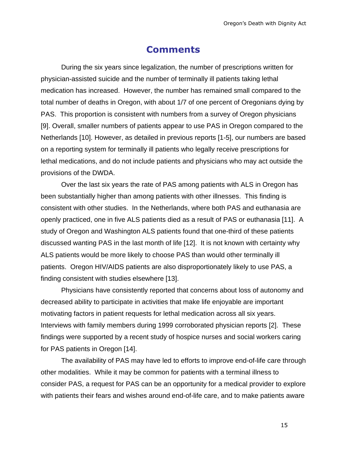## **Comments**

During the six years since legalization, the number of prescriptions written for physician-assisted suicide and the number of terminally ill patients taking lethal medication has increased. However, the number has remained small compared to the total number of deaths in Oregon, with about 1/7 of one percent of Oregonians dying by PAS. This proportion is consistent with numbers from a survey of Oregon physicians [9]. Overall, smaller numbers of patients appear to use PAS in Oregon compared to the Netherlands [10]. However, as detailed in previous reports [1-5], our numbers are based on a reporting system for terminally ill patients who legally receive prescriptions for lethal medications, and do not include patients and physicians who may act outside the provisions of the DWDA.

Over the last six years the rate of PAS among patients with ALS in Oregon has been substantially higher than among patients with other illnesses. This finding is consistent with other studies. In the Netherlands, where both PAS and euthanasia are openly practiced, one in five ALS patients died as a result of PAS or euthanasia [11]. A study of Oregon and Washington ALS patients found that one-third of these patients discussed wanting PAS in the last month of life [12]. It is not known with certainty why ALS patients would be more likely to choose PAS than would other terminally ill patients. Oregon HIV/AIDS patients are also disproportionately likely to use PAS, a finding consistent with studies elsewhere [13].

Physicians have consistently reported that concerns about loss of autonomy and decreased ability to participate in activities that make life enjoyable are important motivating factors in patient requests for lethal medication across all six years. Interviews with family members during 1999 corroborated physician reports [2]. These findings were supported by a recent study of hospice nurses and social workers caring for PAS patients in Oregon [14].

The availability of PAS may have led to efforts to improve end-of-life care through other modalities. While it may be common for patients with a terminal illness to consider PAS, a request for PAS can be an opportunity for a medical provider to explore with patients their fears and wishes around end-of-life care, and to make patients aware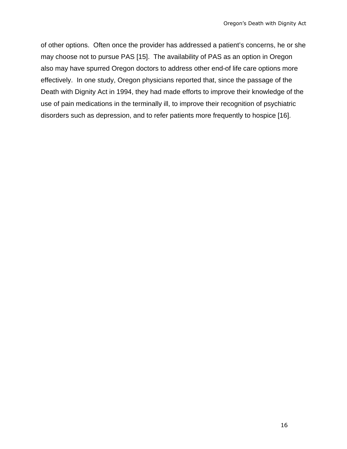of other options. Often once the provider has addressed a patient's concerns, he or she may choose not to pursue PAS [15]. The availability of PAS as an option in Oregon also may have spurred Oregon doctors to address other end-of life care options more effectively. In one study, Oregon physicians reported that, since the passage of the Death with Dignity Act in 1994, they had made efforts to improve their knowledge of the use of pain medications in the terminally ill, to improve their recognition of psychiatric disorders such as depression, and to refer patients more frequently to hospice [16].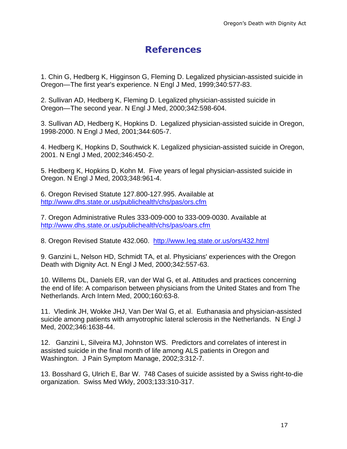# **References**

1. Chin G, Hedberg K, Higginson G, Fleming D. Legalized physician-assisted suicide in Oregon—The first year's experience. N Engl J Med, 1999;340:577-83.

2. Sullivan AD, Hedberg K, Fleming D. Legalized physician-assisted suicide in Oregon—The second year. N Engl J Med, 2000;342:598-604.

3. Sullivan AD, Hedberg K, Hopkins D. Legalized physician-assisted suicide in Oregon, 1998-2000. N Engl J Med, 2001;344:605-7.

4. Hedberg K, Hopkins D, Southwick K. Legalized physician-assisted suicide in Oregon, 2001. N Engl J Med, 2002;346:450-2.

5. Hedberg K, Hopkins D, Kohn M. Five years of legal physician-assisted suicide in Oregon. N Engl J Med, 2003;348:961-4.

6. Oregon Revised Statute 127.800-127.995. Available at http://www.dhs.state.or.us/publichealth/chs/pas/ors.cfm

7. Oregon Administrative Rules 333-009-000 to 333-009-0030. Available at http://www.dhs.state.or.us/publichealth/chs/pas/oars.cfm

8. Oregon Revised Statute 432.060. http://www.leg.state.or.us/ors/432.html

9. Ganzini L, Nelson HD, Schmidt TA, et al. Physicians' experiences with the Oregon Death with Dignity Act. N Engl J Med, 2000;342:557-63.

10. Willems DL, Daniels ER, van der Wal G, et al. Attitudes and practices concerning the end of life: A comparison between physicians from the United States and from The Netherlands. Arch Intern Med, 2000;160:63-8.

11. Vledink JH, Wokke JHJ, Van Der Wal G, et al. Euthanasia and physician-assisted suicide among patients with amyotrophic lateral sclerosis in the Netherlands. N Engl J Med, 2002;346:1638-44.

12. Ganzini L, Silveira MJ, Johnston WS. Predictors and correlates of interest in assisted suicide in the final month of life among ALS patients in Oregon and Washington. J Pain Symptom Manage, 2002;3:312-7.

13. Bosshard G, Ulrich E, Bar W. 748 Cases of suicide assisted by a Swiss right-to-die organization. Swiss Med Wkly, 2003;133:310-317.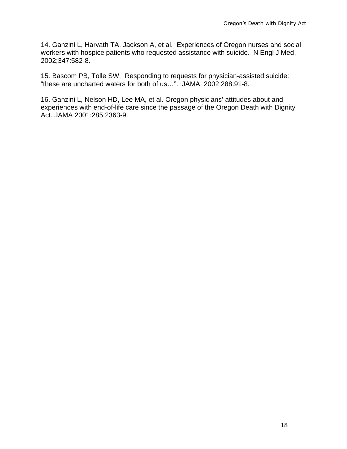14. Ganzini L, Harvath TA, Jackson A, et al. Experiences of Oregon nurses and social workers with hospice patients who requested assistance with suicide. N Engl J Med, 2002;347:582-8.

15. Bascom PB, Tolle SW. Responding to requests for physician-assisted suicide: "these are uncharted waters for both of us…". JAMA, 2002;288:91-8.

16. Ganzini L, Nelson HD, Lee MA, et al. Oregon physicians' attitudes about and experiences with end-of-life care since the passage of the Oregon Death with Dignity Act. JAMA 2001;285:2363-9.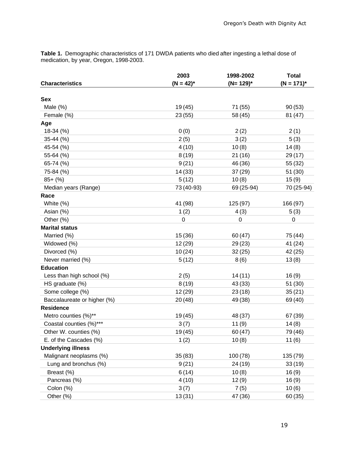**Table 1.** Demographic characteristics of 171 DWDA patients who died after ingesting a lethal dose of medication, by year, Oregon, 1998-2003.

|                             | 2003           | 1998-2002     | <b>Total</b>    |  |
|-----------------------------|----------------|---------------|-----------------|--|
| <b>Characteristics</b>      | $(N = 42)^{*}$ | $(N=129)^{*}$ | $(N = 171)^{*}$ |  |
|                             |                |               |                 |  |
| <b>Sex</b>                  |                |               |                 |  |
| Male $(\%)$                 | 19 (45)        | 71 (55)       | 90(53)          |  |
| Female (%)                  | 23(55)         | 58 (45)       | 81 (47)         |  |
| Age                         |                |               |                 |  |
| 18-34 (%)                   | 0(0)           | 2(2)          | 2(1)            |  |
| $35-44$ (%)                 | 2(5)           | 3(2)          | 5(3)            |  |
| 45-54 (%)                   | 4(10)          | 10(8)         | 14(8)           |  |
| 55-64 (%)                   | 8(19)          | 21(16)        | 29 (17)         |  |
| 65-74 (%)                   | 9(21)          | 46 (36)       | 55 (32)         |  |
| 75-84 (%)                   | 14(33)         | 37(29)        | 51(30)          |  |
| $85+$ (%)                   | 5(12)          | 10(8)         | 15(9)           |  |
| Median years (Range)        | 73 (40-93)     | 69 (25-94)    | 70 (25-94)      |  |
| Race                        |                |               |                 |  |
| White (%)                   | 41 (98)        | 125 (97)      | 166 (97)        |  |
| Asian (%)                   | 1(2)           | 4(3)          | 5(3)            |  |
| Other (%)                   | 0              | $\mathbf 0$   | 0               |  |
| <b>Marital status</b>       |                |               |                 |  |
| Married (%)                 | 15(36)         | 60(47)        | 75 (44)         |  |
| Widowed (%)                 | 12 (29)        | 29(23)        | 41 (24)         |  |
| Divorced (%)                | 10(24)         | 32(25)        | 42 (25)         |  |
| Never married (%)           | 5(12)          | 8(6)          | 13(8)           |  |
| <b>Education</b>            |                |               |                 |  |
| Less than high school (%)   | 2(5)           | 14(11)        | 16(9)           |  |
| HS graduate (%)             | 8(19)          | 43(33)        | 51(30)          |  |
| Some college (%)            | 12 (29)        | 23(18)        | 35(21)          |  |
| Baccalaureate or higher (%) | 20(48)         | 49 (38)       | 69 (40)         |  |
| <b>Residence</b>            |                |               |                 |  |
| Metro counties (%)**        | 19 (45)        | 48 (37)       | 67 (39)         |  |
| Coastal counties (%)***     | 3(7)           | 11(9)         | 14(8)           |  |
| Other W. counties (%)       | 19 (45)        | 60 (47)       | 79 (46)         |  |
| E. of the Cascades (%)      | 1(2)           | 10(8)         | 11(6)           |  |
| <b>Underlying illness</b>   |                |               |                 |  |
| Malignant neoplasms (%)     | 35(83)         | 100 (78)      | 135 (79)        |  |
| Lung and bronchus (%)       | 9(21)          | 24 (19)       | 33(19)          |  |
| Breast (%)                  | 6(14)          | 10(8)         | 16(9)           |  |
| Pancreas (%)                | 4(10)          | 12(9)         | 16(9)           |  |
| Colon (%)                   | 3(7)           | 7(5)          | 10(6)           |  |
| Other (%)                   | 13(31)         | 47 (36)       | 60 (35)         |  |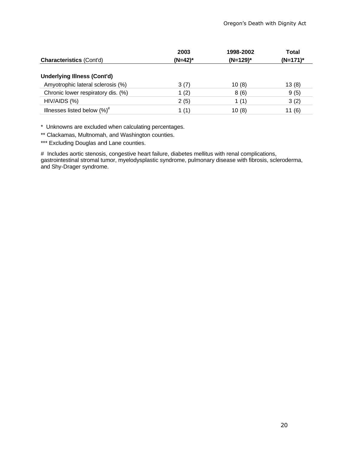|                                    | 2003    | 1998-2002   | <b>Total</b> |  |
|------------------------------------|---------|-------------|--------------|--|
| <b>Characteristics (Cont'd)</b>    | (N=42)* | $(N=129)^*$ | $(N=171)^*$  |  |
| <b>Underlying Illness (Cont'd)</b> |         |             |              |  |
| Amyotrophic lateral sclerosis (%)  | 3(7)    | 10(8)       | 13(8)        |  |
| Chronic lower respiratory dis. (%) | 1 $(2)$ | 8(6)        | 9(5)         |  |
| HIV/AIDS (%)                       | 2(5)    | 1 $(1)$     | 3(2)         |  |
| Illnesses listed below $(\%)^{\#}$ | 1 $(1)$ | 10(8)       | 11(6)        |  |

\* Unknowns are excluded when calculating percentages.

\*\* Clackamas, Multnomah, and Washington counties.

\*\*\* Excluding Douglas and Lane counties.

# Includes aortic stenosis, congestive heart failure, diabetes mellitus with renal complications, gastrointestinal stromal tumor, myelodysplastic syndrome, pulmonary disease with fibrosis, scleroderma, and Shy-Drager syndrome.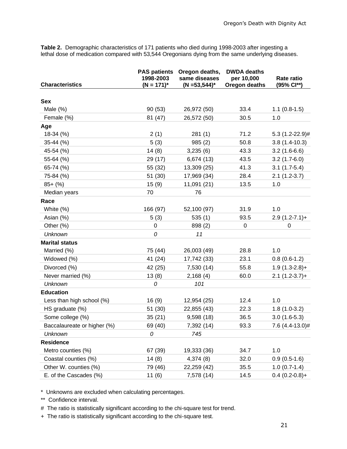**Table 2.** Demographic characteristics of 171 patients who died during 1998-2003 after ingesting a lethal dose of medication compared with 53,544 Oregonians dying from the same underlying diseases.

| <b>Characteristics</b>      | <b>PAS patients</b><br>1998-2003<br>$(N = 171)^{*}$ | Oregon deaths,<br>same diseases<br>$(N = 53, 544)^*$ | <b>DWDA</b> deaths<br>per 10,000<br>Oregon deaths | Rate ratio<br>(95% Cl**) |
|-----------------------------|-----------------------------------------------------|------------------------------------------------------|---------------------------------------------------|--------------------------|
|                             |                                                     |                                                      |                                                   |                          |
| Sex                         |                                                     |                                                      |                                                   |                          |
| Male $(\%)$                 | 90(53)                                              | 26,972 (50)                                          | 33.4                                              | $1.1(0.8-1.5)$           |
| Female (%)                  | 81 (47)                                             | 26,572 (50)                                          | 30.5                                              | 1.0                      |
| Age                         |                                                     |                                                      |                                                   |                          |
| 18-34 (%)                   | 2(1)                                                | 281(1)                                               | 71.2                                              | $5.3(1.2-22.9)$ #        |
| 35-44 (%)                   | 5(3)                                                | 985(2)                                               | 50.8                                              | $3.8(1.4-10.3)$          |
| 45-54 (%)                   | 14(8)                                               | 3,235(6)                                             | 43.3                                              | $3.2(1.6-6.6)$           |
| 55-64 (%)                   | 29 (17)                                             | 6,674 (13)                                           | 43.5                                              | $3.2(1.7-6.0)$           |
| 65-74 (%)                   | 55 (32)                                             | 13,309 (25)                                          | 41.3                                              | $3.1(1.7-5.4)$           |
| 75-84 (%)                   | 51 (30)                                             | 17,969 (34)                                          | 28.4                                              | $2.1(1.2-3.7)$           |
| $85+$ (%)                   | 15(9)                                               | 11,091 (21)                                          | 13.5                                              | 1.0                      |
| Median years                | 70                                                  | 76                                                   |                                                   |                          |
| Race                        |                                                     |                                                      |                                                   |                          |
| White (%)                   | 166 (97)                                            | 52,100 (97)                                          | 31.9                                              | 1.0                      |
| Asian (%)                   | 5(3)                                                | 535(1)                                               | 93.5                                              | $2.9(1.2-7.1)+$          |
| Other (%)                   | 0                                                   | 898 (2)                                              | 0                                                 | 0                        |
| <b>Unknown</b>              | 0                                                   | 11                                                   |                                                   |                          |
| <b>Marital status</b>       |                                                     |                                                      |                                                   |                          |
| Married (%)                 | 75 (44)                                             | 26,003 (49)                                          | 28.8                                              | 1.0                      |
| Widowed (%)                 | 41 (24)                                             | 17,742 (33)                                          | 23.1                                              | $0.8(0.6-1.2)$           |
| Divorced (%)                | 42 (25)                                             | 7,530 (14)                                           | 55.8                                              | $1.9(1.3-2.8)+$          |
| Never married (%)           | 13(8)                                               | 2,168(4)                                             | 60.0                                              | $2.1(1.2-3.7)+$          |
| <b>Unknown</b>              | 0                                                   | 101                                                  |                                                   |                          |
| <b>Education</b>            |                                                     |                                                      |                                                   |                          |
| Less than high school (%)   | 16(9)                                               | 12,954 (25)                                          | 12.4                                              | 1.0                      |
| HS graduate (%)             | 51 (30)                                             | 22,855 (43)                                          | 22.3                                              | $1.8(1.0-3.2)$           |
| Some college (%)            | 35(21)                                              | 9,598 (18)                                           | 36.5                                              | $3.0(1.6-5.3)$           |
| Baccalaureate or higher (%) | 69 (40)                                             | 7,392 (14)                                           | 93.3                                              | 7.6 (4.4-13.0)#          |
| <b>Unknown</b>              | 0                                                   | 745                                                  |                                                   |                          |
| <b>Residence</b>            |                                                     |                                                      |                                                   |                          |
| Metro counties (%)          | 67 (39)                                             | 19,333 (36)                                          | 34.7                                              | 1.0                      |
| Coastal counties (%)        | 14(8)                                               | 4,374 (8)                                            | 32.0                                              | $0.9(0.5-1.6)$           |
| Other W. counties (%)       | 79 (46)                                             | 22,259 (42)                                          | 35.5                                              | $1.0(0.7-1.4)$           |
| E. of the Cascades (%)      | 11(6)                                               | 7,578 (14)                                           | 14.5                                              | $0.4(0.2-0.8)+$          |

\* Unknowns are excluded when calculating percentages.

\*\* Confidence interval.

# The ratio is statistically significant according to the chi-square test for trend.

+ The ratio is statistically significant according to the chi-square test.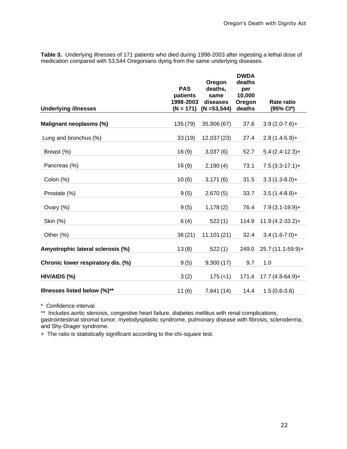**Table 3.** Underlying illnesses of 171 patients who died during 1998-2003 after ingesting a lethal dose of medication compared with 53,544 Oregonians dying from the same underlying diseases.

| <b>Underlying illnesses</b>        | <b>PAS</b><br>patients<br>1998-2003<br>$(N = 171)$ | Oregon<br>deaths,<br>same<br>diseases<br>$(N = 53, 544)$ | <b>DWDA</b><br>deaths<br>per<br>10,000<br>Oregon<br>deaths | <b>Rate ratio</b><br>(95% Cl*) |
|------------------------------------|----------------------------------------------------|----------------------------------------------------------|------------------------------------------------------------|--------------------------------|
| Malignant neoplasms (%)            | 135 (79)                                           | 35,906 (67)                                              | 37.6                                                       | $3.9(2.0-7.6) +$               |
| Lung and bronchus (%)              | 33(19)                                             | 12,037 (23)                                              | 27.4                                                       | $2.8(1.4-5.9)+$                |
| Breast (%)                         | 16(9)                                              | 3,037(6)                                                 | 52.7                                                       | $5.4(2.4-12.3)+$               |
| Pancreas (%)                       | 16(9)                                              | 2,190(4)                                                 | 73.1                                                       | $7.5(3.3-17.1)+$               |
| Colon (%)                          | 10(6)                                              | 3,171(6)                                                 | 31.5                                                       | $3.3(1.3-8.0)+$                |
| Prostate (%)                       | 9(5)                                               | 2,670(5)                                                 | 33.7                                                       | $3.5(1.4-8.8)+$                |
| Ovary (%)                          | 9(5)                                               | 1,178(2)                                                 | 76.4                                                       | $7.9(3.1-19.9)+$               |
| Skin (%)                           | 6(4)                                               | 522(1)                                                   | 114.9                                                      | $11.9(4.2-33.2)+$              |
| Other (%)                          | 36(21)                                             | 11,101(21)                                               | 32.4                                                       | $3.4(1.6-7.0)+$                |
| Amyotrophic lateral sclerosis (%)  | 13(8)                                              | 522(1)                                                   | 249.0                                                      | 25.7 (11.1-59.9)+              |
| Chronic lower respiratory dis. (%) | 9(5)                                               | 9,300(17)                                                | 9.7                                                        | 1.0                            |
| HIV/AIDS (%)                       | 3(2)                                               | $175 (-1)$                                               | 171.4                                                      | $17.7(4.8-64.9)+$              |
| Illnesses listed below (%)**       | 11(6)                                              | 7,641 (14)                                               | 14.4                                                       | $1.5(0.6-3.6)$                 |
|                                    |                                                    |                                                          |                                                            |                                |

\* Confidence interval.

\*\* Includes aortic stenosis, congestive heart failure, diabetes mellitus with renal complications, gastrointestinal stromal tumor, myelodysplastic syndrome, pulmonary disease with fibrosis, scleroderma, and Shy-Drager syndrome.

+ The ratio is statistically significant according to the chi-square test.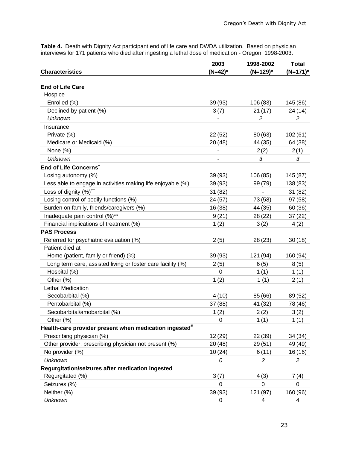**Table 4.** Death with Dignity Act participant end of life care and DWDA utilization. Based on physician interviews for 171 patients who died after ingesting a lethal dose of medication - Oregon, 1998-2003.

|                                                                    | 2003       | 1998-2002   | <b>Total</b> |
|--------------------------------------------------------------------|------------|-------------|--------------|
| <b>Characteristics</b>                                             | $(N=42)^*$ | $(N=129)^*$ | $(N=171)^*$  |
| <b>End of Life Care</b>                                            |            |             |              |
| Hospice                                                            |            |             |              |
| Enrolled (%)                                                       | 39(93)     | 106 (83)    | 145 (86)     |
| Declined by patient (%)                                            | 3(7)       | 21 (17)     | 24 (14)      |
| <b>Unknown</b>                                                     |            | 2           | 2            |
| Insurance                                                          |            |             |              |
| Private (%)                                                        | 22(52)     | 80(63)      | 102(61)      |
| Medicare or Medicaid (%)                                           | 20(48)     | 44 (35)     | 64 (38)      |
| None (%)                                                           |            | 2(2)        | 2(1)         |
| <b>Unknown</b>                                                     |            | 3           | 3            |
| End of Life Concerns <sup>+</sup>                                  |            |             |              |
| Losing autonomy (%)                                                | 39(93)     | 106 (85)    | 145 (87)     |
| Less able to engage in activities making life enjoyable (%)        | 39(93)     | 99 (79)     | 138 (83)     |
| Loss of dignity (%) <sup>++</sup>                                  | 31(82)     |             | 31(82)       |
| Losing control of bodily functions (%)                             | 24 (57)    | 73 (58)     | 97(58)       |
| Burden on family, friends/caregivers (%)                           | 16(38)     | 44 (35)     | 60(36)       |
| Inadequate pain control (%)**                                      | 9(21)      | 28(22)      | 37(22)       |
| Financial implications of treatment (%)                            | 1(2)       | 3(2)        | 4(2)         |
| <b>PAS Process</b>                                                 |            |             |              |
| Referred for psychiatric evaluation (%)                            | 2(5)       | 28 (23)     | 30(18)       |
| Patient died at                                                    |            |             |              |
| Home (patient, family or friend) (%)                               | 39(93)     | 121 (94)    | 160 (94)     |
| Long term care, assisted living or foster care facility (%)        | 2(5)       | 6(5)        | 8(5)         |
| Hospital (%)                                                       | 0          | 1(1)        | 1(1)         |
| Other (%)                                                          | 1(2)       | 1(1)        | 2(1)         |
| Lethal Medication                                                  |            |             |              |
| Secobarbital (%)                                                   | 4(10)      | 85 (66)     | 89 (52)      |
| Pentobarbital (%)                                                  | 37(88)     | 41 (32)     | 78 (46)      |
| Secobarbital/amobarbital (%)                                       | 1(2)       | 2(2)        | 3(2)         |
| Other (%)                                                          | 0          | 1(1)        | 1(1)         |
| Health-care provider present when medication ingested <sup>#</sup> |            |             |              |
| Prescribing physician (%)                                          | 12(29)     | 22(39)      | 34 (34)      |
| Other provider, prescribing physician not present (%)              | 20 (48)    | 29(51)      | 49 (49)      |
| No provider (%)                                                    | 10(24)     | 6(11)       | 16(16)       |
| <b>Unknown</b>                                                     | 0          | 2           | 2            |
| Regurgitation/seizures after medication ingested                   |            |             |              |
| Regurgitated (%)                                                   | 3(7)       | 4(3)        | 7(4)         |
| Seizures (%)                                                       | 0          | 0           | 0            |
| Neither (%)                                                        | 39 (93)    | 121 (97)    | 160 (96)     |
| <b>Unknown</b>                                                     | 0          | 4           | 4            |